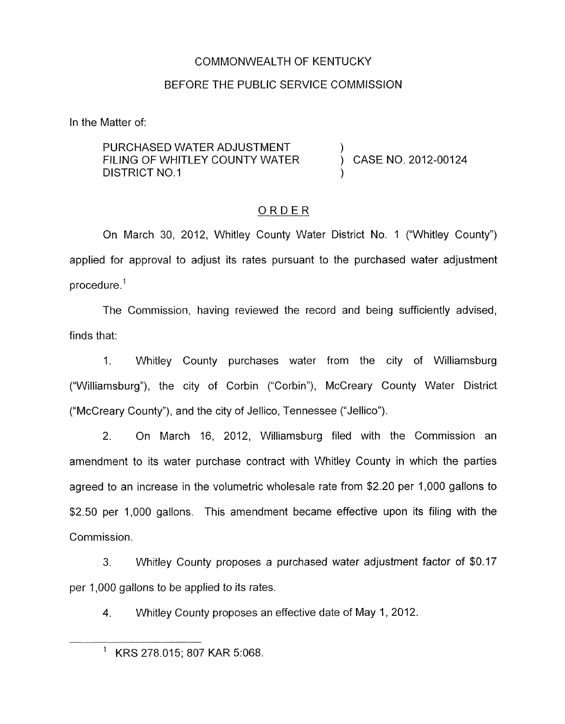### COMMONWEALTH OF KENTUCKY

### BEFORE THE PUBLIC SERVICE COMMISSION

In the Matter of:

PURCHASED WATER ADJUSTMENT FILING OF WHITLEY COUNTY WATER  $\overrightarrow{)}$  CASE NO. 2012-00124 DISTRICT NO.1

## ORDER

On March 30, 2012, Whitley County Water District No. 1 ("Whitley County") applied for approval to adjust its rates pursuant to the purchased water adjustment procedure.'

The Commission, having reviewed the record and being sufficiently advised, finds that:

1. Whitley County purchases water from the city of Williamsburg ("Williamsburg"), the city of Corbin ("Corbin"), McCreary County Water District ("McCreary County"), and the city of Jellico, Tennessee ("Jellico").

2. On March 16, 2012, Williamsburg filed with the Commission an amendment to its water purchase contract with Whitley County in which the parties agreed to an increase in the volumetric wholesale rate from \$2.20 per 1,000 gallons to \$2.50 per 1,000 gallons. This amendment became effective upon its filing with the Commission.

**3.** Whitley County proposes a purchased water adjustment factor of \$0.17 per 1,000 gallons to be applied to its rates.

4. Whitley County proposes an effective date of May 1, 2012.

<sup>&#</sup>x27; KRS 278.015; 807 KAR 5:068.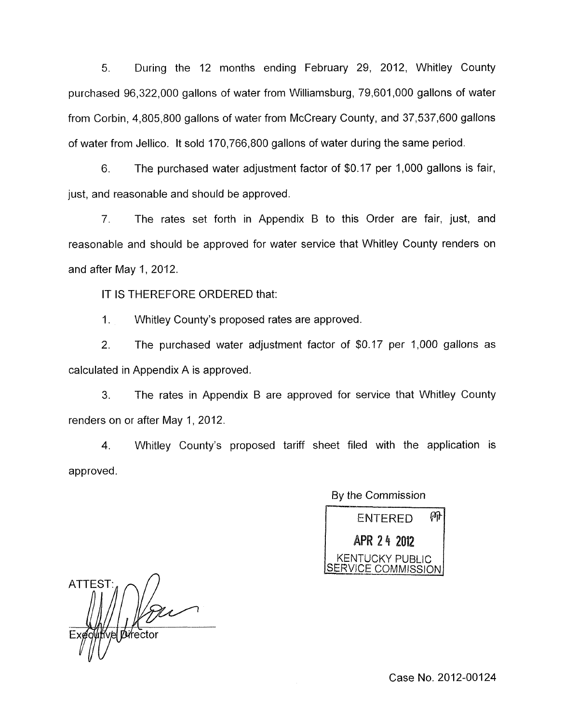5. During the 12 months ending February 29, 2012, Whitley County purchased 96,322,000 gallons of water from Williamsburg, 79,601,000 gallons of water from Corbin, 4,805,800 gallons of water from McCreary County, and 37,537,600 gallons of water from Jellico. It sold 170,766,800 gallons of water during the same period.

6. The purchased water adjustment factor of \$0.17 per 1,000 gallons is fair, just, and reasonable and should be approved.

7. The rates set forth in Appendix B to this Order are fair, just, and reasonable and should be approved for water service that Whitley County renders on and after May 1, 2012.

IT IS THEREFORE ORDERED that:

1. Whitley County's proposed rates are approved.

2. The purchased water adjustment factor of \$0.17 per 1,000 gallons as calculated in Appendix A is approved.

3. The rates in Appendix B are approved for service that Whitley County renders on or after May 1, 2012.

**4.** Whitley County's proposed tariff sheet filed with the application is approved.

| By the Commission                     |  |  |
|---------------------------------------|--|--|
| ENTERED                               |  |  |
| APR 24 2012                           |  |  |
| KENTUCKY PUBLIC<br>SERVICE COMMISSION |  |  |

ATTEST:

Case No. 2012-00124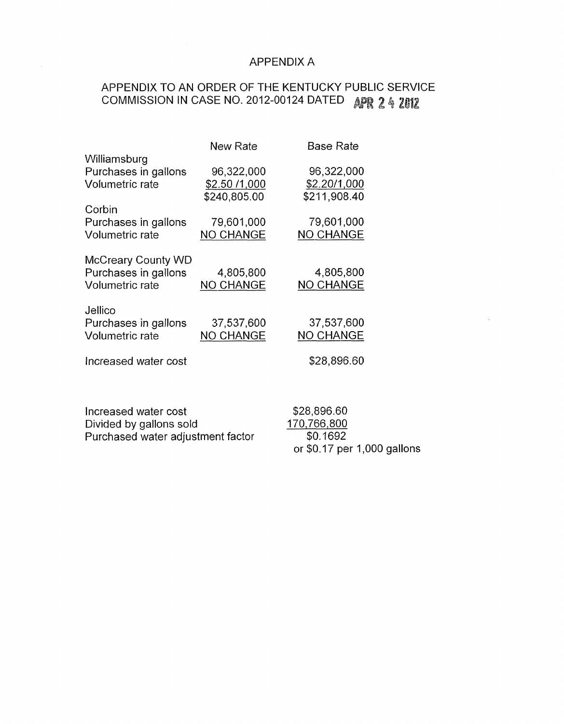# APPENDIX A

or \$0.17 per 1,000 gallons

# APPENDIX TO AN ORDER OF THE KENTUCKY PUBLIC SERVICE **COMMISSION IN CASE NO. 2012-00124 DATED APR 2 4 2012**

|                                   | New Rate         | Base Rate        |
|-----------------------------------|------------------|------------------|
| Williamsburg                      |                  |                  |
| Purchases in gallons              | 96,322,000       | 96,322,000       |
| <b>Volumetric rate</b>            | \$2.50 /1,000    | \$2.20/1,000     |
|                                   | \$240,805.00     | \$211,908.40     |
| Corbin                            |                  |                  |
| Purchases in gallons              | 79,601,000       | 79,601,000       |
| Volumetric rate                   | <b>NO CHANGE</b> | <b>NO CHANGE</b> |
|                                   |                  |                  |
| <b>McCreary County WD</b>         |                  |                  |
| Purchases in gallons              | 4,805,800        | 4,805,800        |
| <b>Volumetric rate</b>            | <b>NO CHANGE</b> | <b>NO CHANGE</b> |
|                                   |                  |                  |
|                                   |                  |                  |
| Jellico                           |                  |                  |
| Purchases in gallons              | 37,537,600       | 37,537,600       |
| Volumetric rate                   | <b>NO CHANGE</b> | <b>NO CHANGE</b> |
|                                   |                  |                  |
| Increased water cost              |                  | \$28,896.60      |
|                                   |                  |                  |
|                                   |                  |                  |
|                                   |                  |                  |
| Increased water cost              | \$28,896.60      |                  |
| Divided by gallons sold           | 170,766,800      |                  |
| Purchased water adjustment factor | \$0.1692         |                  |

 $\bar{z}$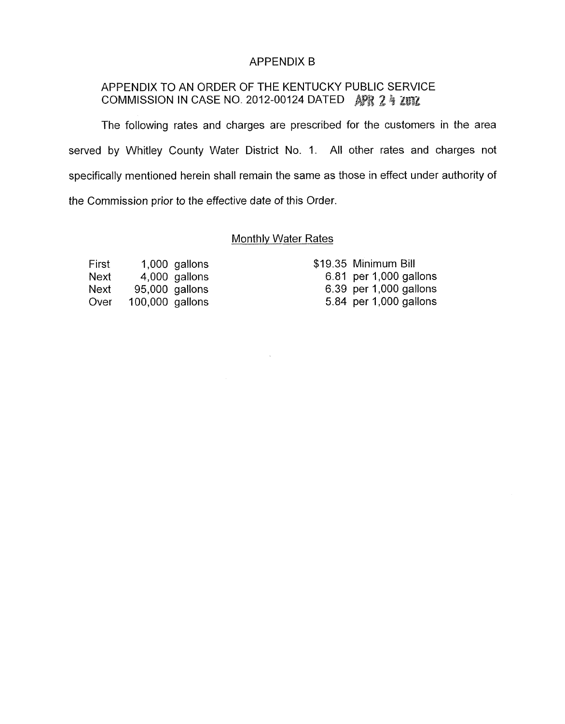### APPENDIX B

# APPENDIX TO AN ORDER OF THE KENTUCKY PUBLIC SERVICE COMMISSION IN CASE NO. 2012-00124 DATED AFR 2 4 ZUIZ

The following rates and charges are prescribed for the customers in the area served by Whitley County Water District No. 1. All other rates and charges not specifically mentioned herein shall remain the same as those in effect under authority of the Commission prior to the effective date of this Order.

## Monthly Water Rates

 $\mathcal{A}$ 

| First |                 | 1,000 gallons  |
|-------|-----------------|----------------|
| Next  |                 | 4,000 gallons  |
| Next  |                 | 95,000 gallons |
| Over  | 100,000 gallons |                |

| \$19.35 Minimum Bill   |
|------------------------|
| 6.81 per 1,000 gallons |
| 6.39 per 1,000 gallons |
| 5.84 per 1,000 gallons |